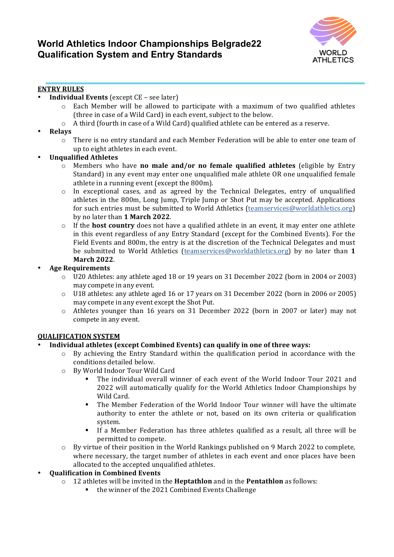# **World Athletics Indoor Championships Belgrade22 Qualification System and Entry Standards**



## **ENTRY RULES**

- **Individual Events** (except CE see later)
	- $\circ$  Each Member will be allowed to participate with a maximum of two qualified athletes (three in case of a Wild Card) in each event, subject to the below.
	- $\circ$  A third (fourth in case of a Wild Card) qualified athlete can be entered as a reserve.
- **Relays**
	- $\circ$  There is no entry standard and each Member Federation will be able to enter one team of up to eight athletes in each event.
- **Unqualified Athletes**
	- $\circ$  Members who have **no male and/or no female qualified athletes** (eligible by Entry Standard) in any event may enter one unqualified male athlete OR one unqualified female athlete in a running event (except the  $800$ m).
	- o In exceptional cases, and as agreed by the Technical Delegates, entry of unqualified athletes in the 800m, Long Jump, Triple Jump or Shot Put may be accepted. Applications for such entries must be submitted to World Athletics (teamservices@worldathletics.org) by no later than 1 March 2022.
	- o If the **host country** does not have a qualified athlete in an event, it may enter one athlete in this event regardless of any Entry Standard (except for the Combined Events). For the Field Events and 800m, the entry is at the discretion of the Technical Delegates and must be submitted to World Athletics (teamservices@worldathletics.org) by no later than 1 **March 2022**.

## • **Age Requirements**

- $\circ$  U20 Athletes: any athlete aged 18 or 19 years on 31 December 2022 (born in 2004 or 2003) may compete in any event.
- $\circ$  U18 athletes: any athlete aged 16 or 17 years on 31 December 2022 (born in 2006 or 2005) may compete in any event except the Shot Put.
- o Athletes younger than 16 years on 31 December 2022 (born in 2007 or later) may not compete in any event.

## **QUALIFICATION SYSTEM**

### • Individual athletes (except Combined Events) can qualify in one of three ways:

- $\circ$  By achieving the Entry Standard within the qualification period in accordance with the conditions detailed below.
- o By World Indoor Tour Wild Card
	- The individual overall winner of each event of the World Indoor Tour 2021 and 2022 will automatically qualify for the World Athletics Indoor Championships by Wild Card.
	- . The Member Federation of the World Indoor Tour winner will have the ultimate authority to enter the athlete or not, based on its own criteria or qualification system.
	- **If** a Member Federation has three athletes qualified as a result, all three will be permitted to compete.
- $\circ$  By virtue of their position in the World Rankings published on 9 March 2022 to complete, where necessary, the target number of athletes in each event and once places have been allocated to the accepted unqualified athletes.

### **Oualification in Combined Events**

- o 12 athletes will be invited in the **Heptathlon** and in the **Pentathlon** as follows:
	- the winner of the 2021 Combined Events Challenge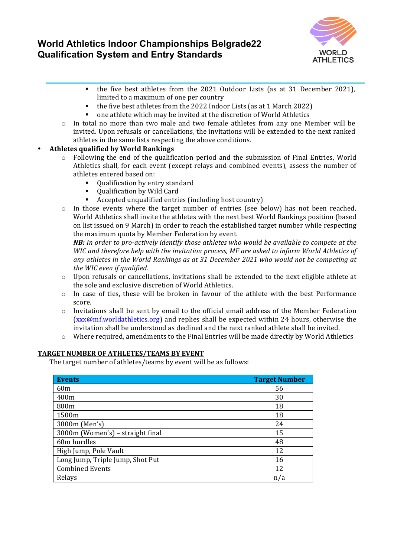## **World Athletics Indoor Championships Belgrade22 Qualification System and Entry Standards**



- the five best athletes from the  $2021$  Outdoor Lists (as at 31 December 2021), limited to a maximum of one per country
- the five best athletes from the 2022 Indoor Lists (as at 1 March 2022)
- one athlete which may be invited at the discretion of World Athletics
- $\circ$  In total no more than two male and two female athletes from any one Member will be invited. Upon refusals or cancellations, the invitations will be extended to the next ranked athletes in the same lists respecting the above conditions.

## • **Athletes qualified by World Rankings**

- $\circ$  Following the end of the qualification period and the submission of Final Entries, World Athletics shall, for each event (except relays and combined events), assess the number of athletes entered based on:
	- Qualification by entry standard
	- Qualification by Wild Card
	- Accepted unqualified entries (including host country)
- $\circ$  In those events where the target number of entries (see below) has not been reached, World Athletics shall invite the athletes with the next best World Rankings position (based on list issued on 9 March) in order to reach the established target number while respecting the maximum quota by Member Federation by event.

*NB:* In order to pro-actively identify those athletes who would be available to compete at the WIC and therefore help with the invitation process, MF are asked to inform World Athletics of any athletes in the World Rankings as at 31 December 2021 who would not be competing at the WIC even if qualified.

- o Upon refusals or cancellations, invitations shall be extended to the next eligible athlete at the sole and exclusive discretion of World Athletics.
- $\circ$  In case of ties, these will be broken in favour of the athlete with the best Performance score.
- $\circ$  Invitations shall be sent by email to the official email address of the Member Federation  $(xxx@mf.worldathletics.org)$  and replies shall be expected within 24 hours, otherwise the invitation shall be understood as declined and the next ranked athlete shall be invited.
- $\circ$  Where required, amendments to the Final Entries will be made directly by World Athletics

### **TARGET NUMBER OF ATHLETES/TEAMS BY EVENT**

The target number of athletes/teams by event will be as follows:

| <b>Events</b>                    | <b>Target Number</b> |
|----------------------------------|----------------------|
| 60 <sub>m</sub>                  | 56                   |
| 400m                             | 30                   |
| 800m                             | 18                   |
| 1500m                            | 18                   |
| 3000m (Men's)                    | 24                   |
| 3000m (Women's) - straight final | 15                   |
| 60m hurdles                      | 48                   |
| High Jump, Pole Vault            | 12                   |
| Long Jump, Triple Jump, Shot Put | 16                   |
| <b>Combined Events</b>           | 12                   |
| Relays                           | n/a                  |